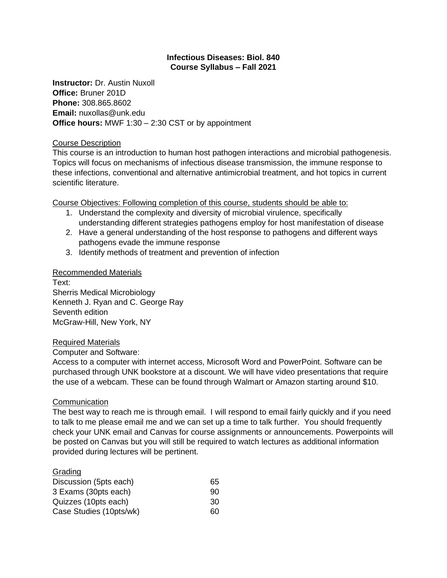## **Infectious Diseases: Biol. 840 Course Syllabus – Fall 2021**

**Instructor:** Dr. Austin Nuxoll **Office:** Bruner 201D **Phone:** 308.865.8602 **Email:** nuxollas@unk.edu **Office hours:** MWF 1:30 – 2:30 CST or by appointment

## Course Description

This course is an introduction to human host pathogen interactions and microbial pathogenesis. Topics will focus on mechanisms of infectious disease transmission, the immune response to these infections, conventional and alternative antimicrobial treatment, and hot topics in current scientific literature.

Course Objectives: Following completion of this course, students should be able to:

- 1. Understand the complexity and diversity of microbial virulence, specifically understanding different strategies pathogens employ for host manifestation of disease
- 2. Have a general understanding of the host response to pathogens and different ways pathogens evade the immune response
- 3. Identify methods of treatment and prevention of infection

## Recommended Materials

Text: Sherris Medical Microbiology Kenneth J. Ryan and C. George Ray Seventh edition McGraw-Hill, New York, NY

## Required Materials

Computer and Software:

Access to a computer with internet access, Microsoft Word and PowerPoint. Software can be purchased through UNK bookstore at a discount. We will have video presentations that require the use of a webcam. These can be found through Walmart or Amazon starting around \$10.

# **Communication**

The best way to reach me is through email. I will respond to email fairly quickly and if you need to talk to me please email me and we can set up a time to talk further. You should frequently check your UNK email and Canvas for course assignments or announcements. Powerpoints will be posted on Canvas but you will still be required to watch lectures as additional information provided during lectures will be pertinent.

| Grading                 |    |
|-------------------------|----|
| Discussion (5pts each)  | 65 |
| 3 Exams (30pts each)    | 90 |
| Quizzes (10pts each)    | 30 |
| Case Studies (10pts/wk) | 60 |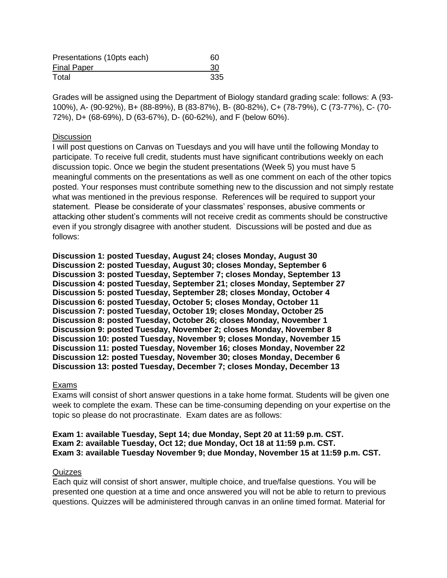| Presentations (10pts each) | 60  |
|----------------------------|-----|
| <b>Final Paper</b>         | 30  |
| Total                      | 335 |

Grades will be assigned using the Department of Biology standard grading scale: follows: A (93- 100%), A- (90-92%), B+ (88-89%), B (83-87%), B- (80-82%), C+ (78-79%), C (73-77%), C- (70- 72%), D+ (68-69%), D (63-67%), D- (60-62%), and F (below 60%).

#### **Discussion**

I will post questions on Canvas on Tuesdays and you will have until the following Monday to participate. To receive full credit, students must have significant contributions weekly on each discussion topic. Once we begin the student presentations (Week 5) you must have 5 meaningful comments on the presentations as well as one comment on each of the other topics posted. Your responses must contribute something new to the discussion and not simply restate what was mentioned in the previous response. References will be required to support your statement. Please be considerate of your classmates' responses, abusive comments or attacking other student's comments will not receive credit as comments should be constructive even if you strongly disagree with another student. Discussions will be posted and due as follows:

**Discussion 1: posted Tuesday, August 24; closes Monday, August 30 Discussion 2: posted Tuesday, August 30; closes Monday, September 6 Discussion 3: posted Tuesday, September 7; closes Monday, September 13 Discussion 4: posted Tuesday, September 21; closes Monday, September 27 Discussion 5: posted Tuesday, September 28; closes Monday, October 4 Discussion 6: posted Tuesday, October 5; closes Monday, October 11 Discussion 7: posted Tuesday, October 19; closes Monday, October 25 Discussion 8: posted Tuesday, October 26; closes Monday, November 1 Discussion 9: posted Tuesday, November 2; closes Monday, November 8 Discussion 10: posted Tuesday, November 9; closes Monday, November 15 Discussion 11: posted Tuesday, November 16; closes Monday, November 22 Discussion 12: posted Tuesday, November 30; closes Monday, December 6 Discussion 13: posted Tuesday, December 7; closes Monday, December 13**

#### Exams

Exams will consist of short answer questions in a take home format. Students will be given one week to complete the exam. These can be time-consuming depending on your expertise on the topic so please do not procrastinate. Exam dates are as follows:

#### **Exam 1: available Tuesday, Sept 14; due Monday, Sept 20 at 11:59 p.m. CST. Exam 2: available Tuesday, Oct 12; due Monday, Oct 18 at 11:59 p.m. CST. Exam 3: available Tuesday November 9; due Monday, November 15 at 11:59 p.m. CST.**

#### Quizzes

Each quiz will consist of short answer, multiple choice, and true/false questions. You will be presented one question at a time and once answered you will not be able to return to previous questions. Quizzes will be administered through canvas in an online timed format. Material for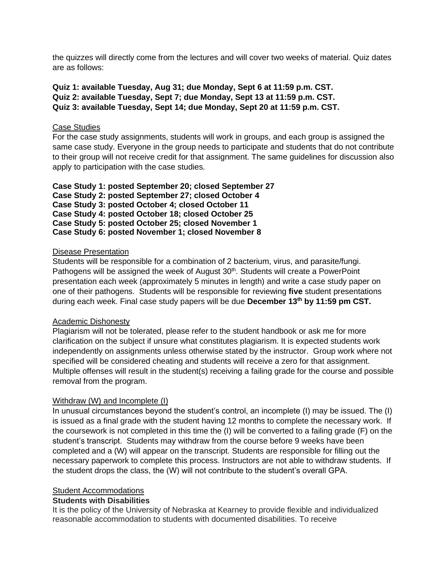the quizzes will directly come from the lectures and will cover two weeks of material. Quiz dates are as follows:

**Quiz 1: available Tuesday, Aug 31; due Monday, Sept 6 at 11:59 p.m. CST. Quiz 2: available Tuesday, Sept 7; due Monday, Sept 13 at 11:59 p.m. CST. Quiz 3: available Tuesday, Sept 14; due Monday, Sept 20 at 11:59 p.m. CST.**

#### Case Studies

For the case study assignments, students will work in groups, and each group is assigned the same case study. Everyone in the group needs to participate and students that do not contribute to their group will not receive credit for that assignment. The same guidelines for discussion also apply to participation with the case studies.

**Case Study 1: posted September 20; closed September 27 Case Study 2: posted September 27; closed October 4 Case Study 3: posted October 4; closed October 11 Case Study 4: posted October 18; closed October 25 Case Study 5: posted October 25; closed November 1 Case Study 6: posted November 1; closed November 8**

#### Disease Presentation

Students will be responsible for a combination of 2 bacterium, virus, and parasite/fungi. Pathogens will be assigned the week of August 30<sup>th</sup>. Students will create a PowerPoint presentation each week (approximately 5 minutes in length) and write a case study paper on one of their pathogens. Students will be responsible for reviewing **five** student presentations during each week. Final case study papers will be due **December 13 th by 11:59 pm CST.**

#### Academic Dishonesty

Plagiarism will not be tolerated, please refer to the student handbook or ask me for more clarification on the subject if unsure what constitutes plagiarism. It is expected students work independently on assignments unless otherwise stated by the instructor. Group work where not specified will be considered cheating and students will receive a zero for that assignment. Multiple offenses will result in the student(s) receiving a failing grade for the course and possible removal from the program.

## Withdraw (W) and Incomplete (I)

In unusual circumstances beyond the student's control, an incomplete (I) may be issued. The (I) is issued as a final grade with the student having 12 months to complete the necessary work. If the coursework is not completed in this time the (I) will be converted to a failing grade (F) on the student's transcript. Students may withdraw from the course before 9 weeks have been completed and a (W) will appear on the transcript. Students are responsible for filling out the necessary paperwork to complete this process. Instructors are not able to withdraw students. If the student drops the class, the (W) will not contribute to the student's overall GPA.

## Student Accommodations

## **Students with Disabilities**

It is the policy of the University of Nebraska at Kearney to provide flexible and individualized reasonable accommodation to students with documented disabilities. To receive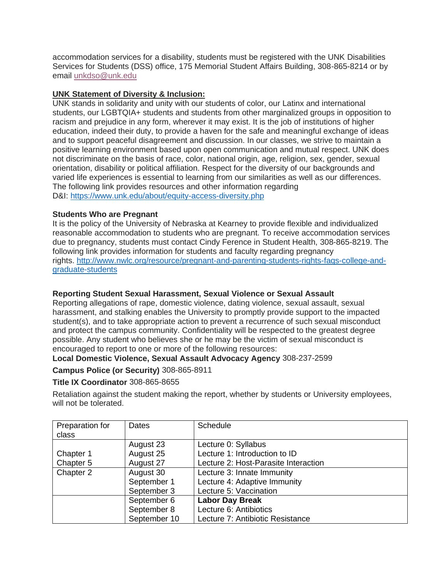accommodation services for a disability, students must be registered with the UNK Disabilities Services for Students (DSS) office, 175 Memorial Student Affairs Building, 308-865-8214 or by email [unkdso@unk.edu](mailto:unkdso@unk.edu)

## **UNK Statement of Diversity & Inclusion:**

UNK stands in solidarity and unity with our students of color, our Latinx and international students, our LGBTQIA+ students and students from other marginalized groups in opposition to racism and prejudice in any form, wherever it may exist. It is the job of institutions of higher education, indeed their duty, to provide a haven for the safe and meaningful exchange of ideas and to support peaceful disagreement and discussion. In our classes, we strive to maintain a positive learning environment based upon open communication and mutual respect. UNK does not discriminate on the basis of race, color, national origin, age, religion, sex, gender, sexual orientation, disability or political affiliation. Respect for the diversity of our backgrounds and varied life experiences is essential to learning from our similarities as well as our differences. The following link provides resources and other information regarding D&I: <https://www.unk.edu/about/equity-access-diversity.php>

## **Students Who are Pregnant**

It is the policy of the University of Nebraska at Kearney to provide flexible and individualized reasonable accommodation to students who are pregnant. To receive accommodation services due to pregnancy, students must contact Cindy Ference in Student Health, 308-865-8219. The following link provides information for students and faculty regarding pregnancy rights. [http://www.nwlc.org/resource/pregnant-and-parenting-students-rights-faqs-college-and](https://urldefense.proofpoint.com/v2/url?u=http-3A__www.nwlc.org_resource_pregnant-2Dand-2Dparenting-2Dstudents-2Drights-2Dfaqs-2Dcollege-2Dand-2Dgraduate-2Dstudents&d=DwMFAg&c=Cu5g146wZdoqVuKpTNsYHeFX_rg6kWhlkLF8Eft-wwo&r=BJkIhAaMtWY7PlqIhIOyVw&m=RgBL3s2VNHfvD5ReMK2q_PhwYU8dbEt1vxs1BO4WkpQ&s=MmB91XAzaW-E7UPMXPGx9tWJQbTWJYyYzM8gLjhEzQ0&e=)[graduate-students](https://urldefense.proofpoint.com/v2/url?u=http-3A__www.nwlc.org_resource_pregnant-2Dand-2Dparenting-2Dstudents-2Drights-2Dfaqs-2Dcollege-2Dand-2Dgraduate-2Dstudents&d=DwMFAg&c=Cu5g146wZdoqVuKpTNsYHeFX_rg6kWhlkLF8Eft-wwo&r=BJkIhAaMtWY7PlqIhIOyVw&m=RgBL3s2VNHfvD5ReMK2q_PhwYU8dbEt1vxs1BO4WkpQ&s=MmB91XAzaW-E7UPMXPGx9tWJQbTWJYyYzM8gLjhEzQ0&e=)

# **Reporting Student Sexual Harassment, Sexual Violence or Sexual Assault**

Reporting allegations of rape, domestic violence, dating violence, sexual assault, sexual harassment, and stalking enables the University to promptly provide support to the impacted student(s), and to take appropriate action to prevent a recurrence of such sexual misconduct and protect the campus community. Confidentiality will be respected to the greatest degree possible. Any student who believes she or he may be the victim of sexual misconduct is encouraged to report to one or more of the following resources:

## **Local Domestic Violence, Sexual Assault Advocacy Agency** 308-237-2599

## **Campus Police (or Security)** 308-865-8911

## **Title IX Coordinator** 308-865-8655

Retaliation against the student making the report, whether by students or University employees, will not be tolerated.

| Preparation for | Dates        | <b>Schedule</b>                      |
|-----------------|--------------|--------------------------------------|
| class           |              |                                      |
|                 | August 23    | Lecture 0: Syllabus                  |
| Chapter 1       | August 25    | Lecture 1: Introduction to ID        |
| Chapter 5       | August 27    | Lecture 2: Host-Parasite Interaction |
| Chapter 2       | August 30    | Lecture 3: Innate Immunity           |
|                 | September 1  | Lecture 4: Adaptive Immunity         |
|                 | September 3  | Lecture 5: Vaccination               |
|                 | September 6  | <b>Labor Day Break</b>               |
|                 | September 8  | Lecture 6: Antibiotics               |
|                 | September 10 | Lecture 7: Antibiotic Resistance     |